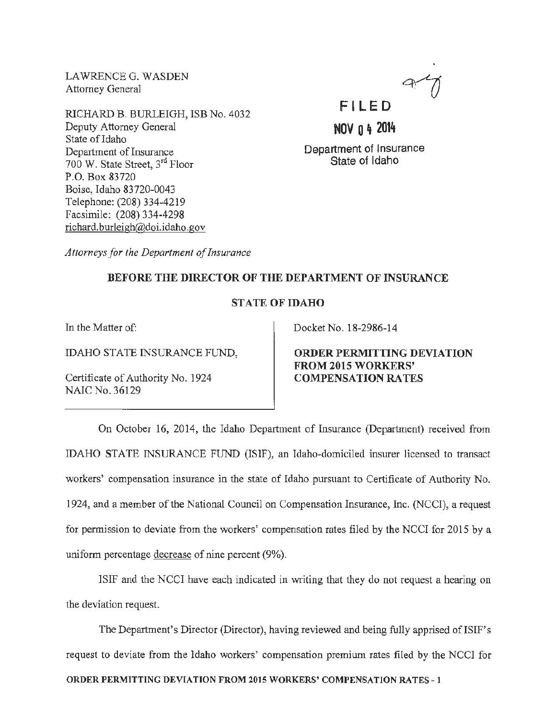LAWRENCEG. WASDEN Attorney General

RICHARD B. BURLEIGH, ISB No. 4032 Deputy Attorney General State of Idaho Department of Insurance 700 W. State Street, 3rd Floor P.O. Box 83720 Boise, Idaho 83720-0043 Telephone: (208) 334-4219 Facsimile: (208) 334-4298 richard. burleigh@doi.idaho. gov



**NOV 0 It <sup>2014</sup>**

Department of Insurance State of Idaho

*Attorneys for the Department of Insurance* 

## BEFORE THE DIRECTOR OF THE DEPARTMENT OF INSURANCE

## STATE OF IDAHO

In the Matter of:

IDAHO STATE INSURANCE FUND,

Certificate of Authority No. 1924 NAIC No. 36129

Docket No. 18-2986-14

ORDER PERMITTING DEVIATION FROM 2015 WORKERS' COMPENSATION RATES

On October 16, 2014, the Idaho Department of Insurance (Department) received from IDAHO STATE INSURANCE FUND (ISIF), an Idaho-domiciled insurer licensed to transact workers' compensation insurance in the state of Idaho pursuant to Certificate of Authority No. 1924, and a member of the National Council on Compensation Insurance, Inc. (NCCI), a request for permission to deviate from the workers' compensation rates filed by the NCCI for 2015 by a uniform percentage decrease of nine percent (9%).

ISIF and the NCCI have each indicated in writing that they do not request a hearing on the deviation request.

The Department's Director (Director), having reviewed and being fully apprised of ISIF's request to deviate from the Idaho workers' compensation premium rates filed by the NCCI for ORDER PERMITTING DEVIATION FROM 2015 WORKERS' COMPENSATION RATES- 1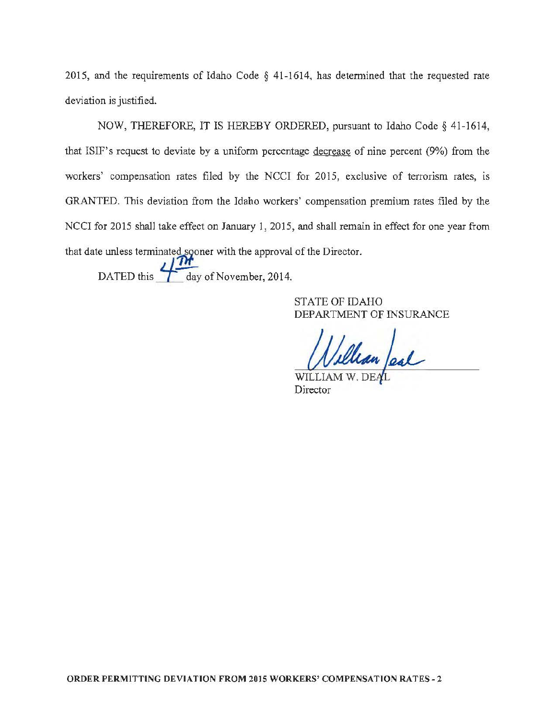2015, and the requirements of Idaho Code § 41-1614, has determined that the requested rate deviation is justified.

NOW, THEREFORE, IT IS HEREBY ORDERED, pursuant to Idaho Code§ 41-1614, that IS IF's request to deviate by a uniform percentage decrease of nine percent (9%) from the workers' compensation rates filed by the NCCI for 2015, exclusive of terrorism rates, is GRANTED. This deviation from the Idaho workers' compensation premium rates filed by the NCCI for 2015 shall take effect on January 1, 2015, and shall remain in effect for one year from that date unless terminated sooner with the approval of the Director.

DATED this  $\frac{1}{2}$  day of November, 2014.

STATE OF IDAHO DEPARTMENT OF INSURANCE

Villian Jesl

Director